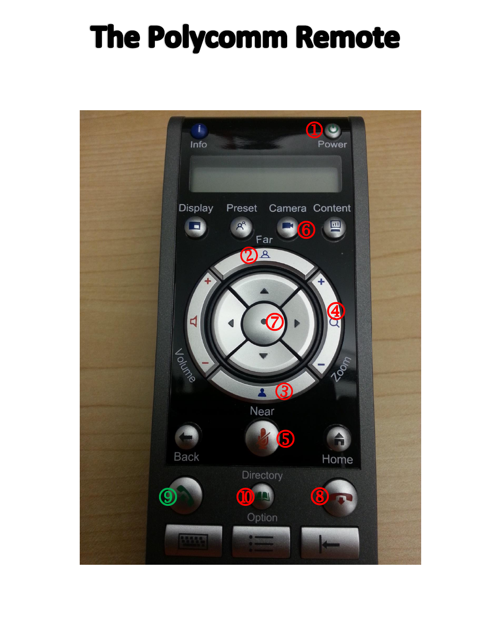## The Polycomm Remote